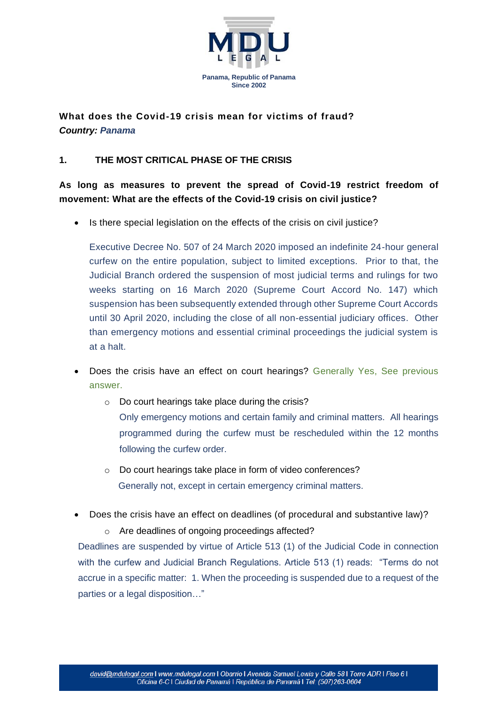

**What does the Covid-19 crisis mean for victims of fraud?** *Country: Panama*

## **1. THE MOST CRITICAL PHASE OF THE CRISIS**

**As long as measures to prevent the spread of Covid-19 restrict freedom of movement: What are the effects of the Covid-19 crisis on civil justice?**

• Is there special legislation on the effects of the crisis on civil justice?

Executive Decree No. 507 of 24 March 2020 imposed an indefinite 24-hour general curfew on the entire population, subject to limited exceptions. Prior to that, the Judicial Branch ordered the suspension of most judicial terms and rulings for two weeks starting on 16 March 2020 (Supreme Court Accord No. 147) which suspension has been subsequently extended through other Supreme Court Accords until 30 April 2020, including the close of all non-essential judiciary offices. Other than emergency motions and essential criminal proceedings the judicial system is at a halt.

- **Does the crisis have an effect on court hearings? Generally Yes, See previous** answer.
	- o Do court hearings take place during the crisis? Only emergency motions and certain family and criminal matters. All hearings programmed during the curfew must be rescheduled within the 12 months following the curfew order.
	- o Do court hearings take place in form of video conferences? Generally not, except in certain emergency criminal matters.
- Does the crisis have an effect on deadlines (of procedural and substantive law)?
	- o Are deadlines of ongoing proceedings affected?

Deadlines are suspended by virtue of Article 513 (1) of the Judicial Code in connection with the curfew and Judicial Branch Regulations. Article 513 (1) reads: "Terms do not accrue in a specific matter: 1. When the proceeding is suspended due to a request of the parties or a legal disposition…"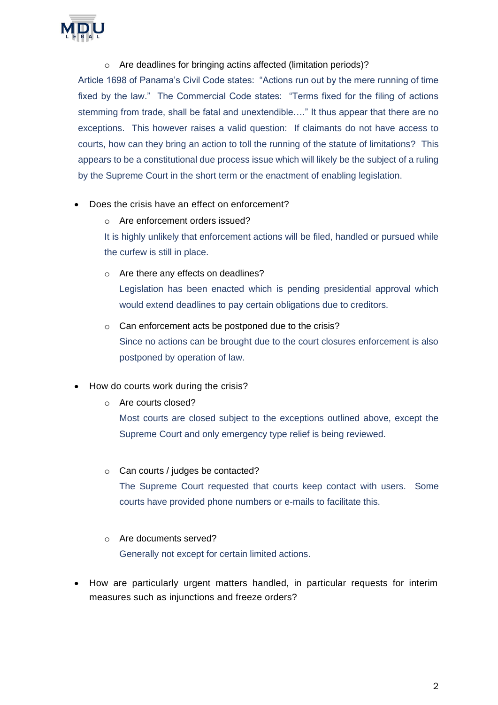

#### o Are deadlines for bringing actins affected (limitation periods)?

Article 1698 of Panama's Civil Code states: "Actions run out by the mere running of time fixed by the law." The Commercial Code states: "Terms fixed for the filing of actions stemming from trade, shall be fatal and unextendible…." It thus appear that there are no exceptions. This however raises a valid question: If claimants do not have access to courts, how can they bring an action to toll the running of the statute of limitations? This appears to be a constitutional due process issue which will likely be the subject of a ruling by the Supreme Court in the short term or the enactment of enabling legislation.

#### • Does the crisis have an effect on enforcement?

o Are enforcement orders issued?

It is highly unlikely that enforcement actions will be filed, handled or pursued while the curfew is still in place.

- o Are there any effects on deadlines? Legislation has been enacted which is pending presidential approval which would extend deadlines to pay certain obligations due to creditors.
- o Can enforcement acts be postponed due to the crisis? Since no actions can be brought due to the court closures enforcement is also postponed by operation of law.
- How do courts work during the crisis?
	- o Are courts closed?

Most courts are closed subject to the exceptions outlined above, except the Supreme Court and only emergency type relief is being reviewed.

- o Can courts / judges be contacted? The Supreme Court requested that courts keep contact with users. Some courts have provided phone numbers or e-mails to facilitate this.
- o Are documents served? Generally not except for certain limited actions.
- How are particularly urgent matters handled, in particular requests for interim measures such as injunctions and freeze orders?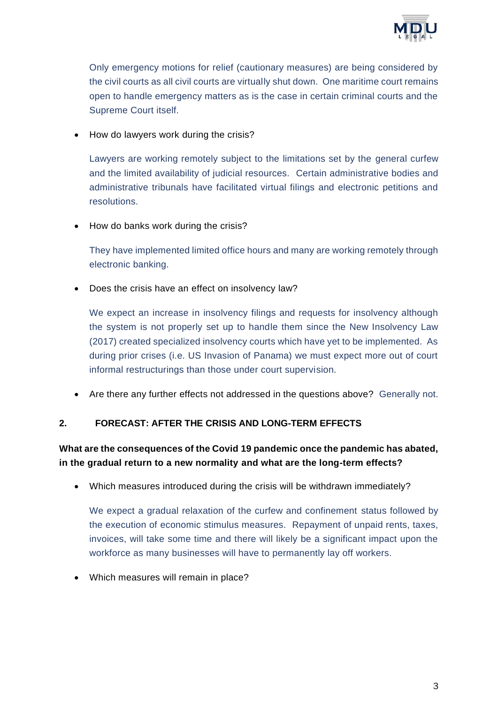

Only emergency motions for relief (cautionary measures) are being considered by the civil courts as all civil courts are virtually shut down. One maritime court remains open to handle emergency matters as is the case in certain criminal courts and the Supreme Court itself.

• How do lawyers work during the crisis?

Lawyers are working remotely subject to the limitations set by the general curfew and the limited availability of judicial resources. Certain administrative bodies and administrative tribunals have facilitated virtual filings and electronic petitions and resolutions.

• How do banks work during the crisis?

They have implemented limited office hours and many are working remotely through electronic banking.

• Does the crisis have an effect on insolvency law?

We expect an increase in insolvency filings and requests for insolvency although the system is not properly set up to handle them since the New Insolvency Law (2017) created specialized insolvency courts which have yet to be implemented. As during prior crises (i.e. US Invasion of Panama) we must expect more out of court informal restructurings than those under court supervision.

• Are there any further effects not addressed in the questions above? Generally not.

### **2. FORECAST: AFTER THE CRISIS AND LONG-TERM EFFECTS**

# **What are the consequences of the Covid 19 pandemic once the pandemic has abated, in the gradual return to a new normality and what are the long-term effects?**

• Which measures introduced during the crisis will be withdrawn immediately?

We expect a gradual relaxation of the curfew and confinement status followed by the execution of economic stimulus measures. Repayment of unpaid rents, taxes, invoices, will take some time and there will likely be a significant impact upon the workforce as many businesses will have to permanently lay off workers.

• Which measures will remain in place?